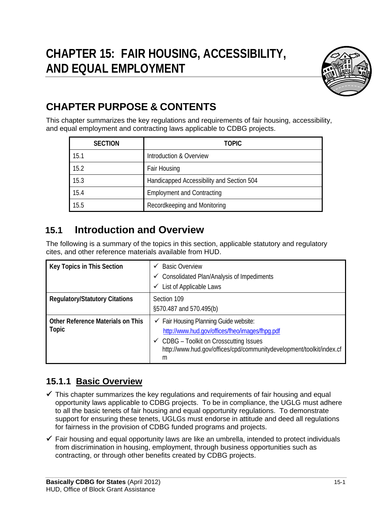

# **CHAPTER PURPOSE & CONTENTS**

This chapter summarizes the key regulations and requirements of fair housing, accessibility, and equal employment and contracting laws applicable to CDBG projects.

| <b>SECTION</b> | <b>TOPIC</b>                              |
|----------------|-------------------------------------------|
| 15.1           | Introduction & Overview                   |
| 15.2           | Fair Housing                              |
| 15.3           | Handicapped Accessibility and Section 504 |
| 15.4           | <b>Employment and Contracting</b>         |
| 15.5           | Recordkeeping and Monitoring              |

# **15.1 Introduction and Overview**

The following is a summary of the topics in this section, applicable statutory and regulatory cites, and other reference materials available from HUD.

| Key Topics in This Section                        | <b>Basic Overview</b><br>✓<br><b>Consolidated Plan/Analysis of Impediments</b><br>$\checkmark$<br>List of Applicable Laws<br>✓                                                                                                          |
|---------------------------------------------------|-----------------------------------------------------------------------------------------------------------------------------------------------------------------------------------------------------------------------------------------|
| <b>Regulatory/Statutory Citations</b>             | Section 109<br>§570.487 and 570.495(b)                                                                                                                                                                                                  |
| <b>Other Reference Materials on This</b><br>Topic | $\checkmark$ Fair Housing Planning Guide website:<br>http://www.hud.gov/offices/fheo/images/fhpg.pdf<br>$\checkmark$ CDBG – Toolkit on Crosscutting Issues<br>http://www.hud.gov/offices/cpd/communitydevelopment/toolkit/index.cf<br>m |

# **15.1.1 Basic Overview**

- $\checkmark$  This chapter summarizes the key regulations and requirements of fair housing and equal opportunity laws applicable to CDBG projects. To be in compliance, the UGLG must adhere to all the basic tenets of fair housing and equal opportunity regulations. To demonstrate support for ensuring these tenets, UGLGs must endorse in attitude and deed all regulations for fairness in the provision of CDBG funded programs and projects.
- $\checkmark$  Fair housing and equal opportunity laws are like an umbrella, intended to protect individuals from discrimination in housing, employment, through business opportunities such as contracting, or through other benefits created by CDBG projects.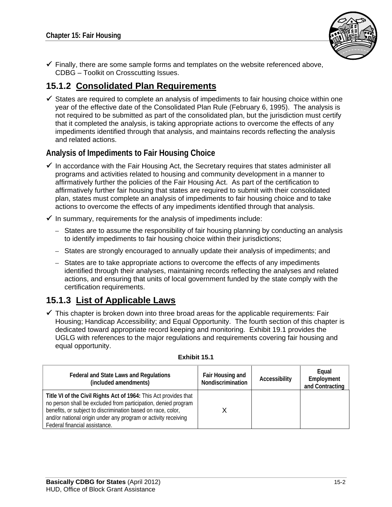

 $\checkmark$  Finally, there are some sample forms and templates on the website referenced above, CDBG – Toolkit on Crosscutting Issues.

## **15.1.2 Consolidated Plan Requirements**

 $\checkmark$  States are required to complete an analysis of impediments to fair housing choice within one year of the effective date of the Consolidated Plan Rule (February 6, 1995). The analysis is not required to be submitted as part of the consolidated plan, but the jurisdiction must certify that it completed the analysis, is taking appropriate actions to overcome the effects of any impediments identified through that analysis, and maintains records reflecting the analysis and related actions.

### **Analysis of Impediments to Fair Housing Choice**

- $\checkmark$  In accordance with the Fair Housing Act, the Secretary requires that states administer all programs and activities related to housing and community development in a manner to affirmatively further the policies of the Fair Housing Act. As part of the certification to affirmatively further fair housing that states are required to submit with their consolidated plan, states must complete an analysis of impediments to fair housing choice and to take actions to overcome the effects of any impediments identified through that analysis.
- $\checkmark$  In summary, requirements for the analysis of impediments include:
	- States are to assume the responsibility of fair housing planning by conducting an analysis to identify impediments to fair housing choice within their jurisdictions;
	- States are strongly encouraged to annually update their analysis of impediments; and
	- States are to take appropriate actions to overcome the effects of any impediments identified through their analyses, maintaining records reflecting the analyses and related actions, and ensuring that units of local government funded by the state comply with the certification requirements.

# **15.1.3 List of Applicable Laws**

 $\checkmark$  This chapter is broken down into three broad areas for the applicable requirements: Fair Housing; Handicap Accessibility; and Equal Opportunity. The fourth section of this chapter is dedicated toward appropriate record keeping and monitoring. Exhibit 19.1 provides the UGLG with references to the major regulations and requirements covering fair housing and equal opportunity.

| Federal and State Laws and Regulations<br>(included amendments)                                                                                                                                                                                                                                       | Fair Housing and<br>Nondiscrimination | Accessibility | Equal<br>Employment<br>and Contracting |
|-------------------------------------------------------------------------------------------------------------------------------------------------------------------------------------------------------------------------------------------------------------------------------------------------------|---------------------------------------|---------------|----------------------------------------|
| Title VI of the Civil Rights Act of 1964: This Act provides that<br>no person shall be excluded from participation, denied program<br>benefits, or subject to discrimination based on race, color,<br>and/or national origin under any program or activity receiving<br>Federal financial assistance. |                                       |               |                                        |

#### **Exhibit 15.1**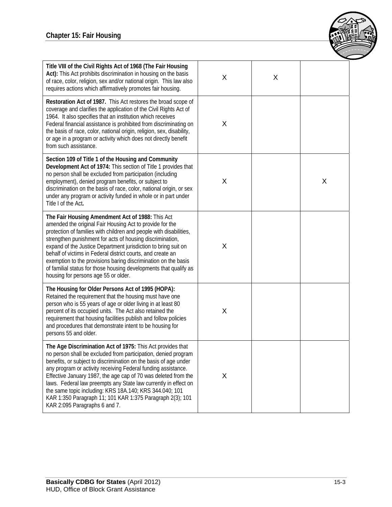

| Title VIII of the Civil Rights Act of 1968 (The Fair Housing<br>Act): This Act prohibits discrimination in housing on the basis<br>of race, color, religion, sex and/or national origin. This law also<br>requires actions which affirmatively promotes fair housing.                                                                                                                                                                                                                                                                                           | Χ | X |   |
|-----------------------------------------------------------------------------------------------------------------------------------------------------------------------------------------------------------------------------------------------------------------------------------------------------------------------------------------------------------------------------------------------------------------------------------------------------------------------------------------------------------------------------------------------------------------|---|---|---|
| Restoration Act of 1987. This Act restores the broad scope of<br>coverage and clarifies the application of the Civil Rights Act of<br>1964. It also specifies that an institution which receives<br>Federal financial assistance is prohibited from discriminating on<br>the basis of race, color, national origin, religion, sex, disability,<br>or age in a program or activity which does not directly benefit<br>from such assistance.                                                                                                                      | X |   |   |
| Section 109 of Title 1 of the Housing and Community<br>Development Act of 1974: This section of Title 1 provides that<br>no person shall be excluded from participation (including<br>employment), denied program benefits, or subject to<br>discrimination on the basis of race, color, national origin, or sex<br>under any program or activity funded in whole or in part under<br>Title I of the Act.                                                                                                                                                       | X |   | X |
| The Fair Housing Amendment Act of 1988: This Act<br>amended the original Fair Housing Act to provide for the<br>protection of families with children and people with disabilities,<br>strengthen punishment for acts of housing discrimination,<br>expand of the Justice Department jurisdiction to bring suit on<br>behalf of victims in Federal district courts, and create an<br>exemption to the provisions baring discrimination on the basis<br>of familial status for those housing developments that qualify as<br>housing for persons age 55 or older. | X |   |   |
| The Housing for Older Persons Act of 1995 (HOPA):<br>Retained the requirement that the housing must have one<br>person who is 55 years of age or older living in at least 80<br>percent of its occupied units. The Act also retained the<br>requirement that housing facilities publish and follow policies<br>and procedures that demonstrate intent to be housing for<br>persons 55 and older.                                                                                                                                                                | Χ |   |   |
| The Age Discrimination Act of 1975: This Act provides that<br>no person shall be excluded from participation, denied program<br>benefits, or subject to discrimination on the basis of age under<br>any program or activity receiving Federal funding assistance.<br>Effective January 1987, the age cap of 70 was deleted from the<br>laws. Federal law preempts any State law currently in effect on<br>the same topic including: KRS 18A.140; KRS 344.040; 101<br>KAR 1:350 Paragraph 11; 101 KAR 1:375 Paragraph 2(3); 101<br>KAR 2:095 Paragraphs 6 and 7. | X |   |   |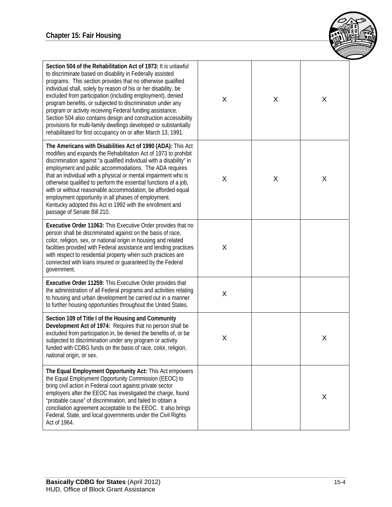

| Section 504 of the Rehabilitation Act of 1973: It is unlawful<br>to discriminate based on disability in Federally assisted<br>programs. This section provides that no otherwise qualified<br>individual shall, solely by reason of his or her disability, be<br>excluded from participation (including employment), denied<br>program benefits, or subjected to discrimination under any<br>program or activity receiving Federal funding assistance.<br>Section 504 also contains design and construction accessibility<br>provisions for multi-family dwellings developed or substantially<br>rehabilitated for first occupancy on or after March 13, 1991. | X | X | X |
|---------------------------------------------------------------------------------------------------------------------------------------------------------------------------------------------------------------------------------------------------------------------------------------------------------------------------------------------------------------------------------------------------------------------------------------------------------------------------------------------------------------------------------------------------------------------------------------------------------------------------------------------------------------|---|---|---|
| The Americans with Disabilities Act of 1990 (ADA): This Act<br>modifies and expands the Rehabilitation Act of 1973 to prohibit<br>discrimination against "a qualified individual with a disability" in<br>employment and public accommodations. The ADA requires<br>that an individual with a physical or mental impairment who is<br>otherwise qualified to perform the essential functions of a job,<br>with or without reasonable accommodation, be afforded equal<br>employment opportunity in all phases of employment.<br>Kentucky adopted this Act in 1992 with the enrollment and<br>passage of Senate Bill 210.                                      | X | X | X |
| Executive Order 11063: This Executive Order provides that no<br>person shall be discriminated against on the basis of race,<br>color, religion, sex, or national origin in housing and related<br>facilities provided with Federal assistance and lending practices<br>with respect to residential property when such practices are<br>connected with loans insured or guaranteed by the Federal<br>government.                                                                                                                                                                                                                                               | X |   |   |
| Executive Order 11259: This Executive Order provides that<br>the administration of all Federal programs and activities relating<br>to housing and urban development be carried out in a manner<br>to further housing opportunities throughout the United States.                                                                                                                                                                                                                                                                                                                                                                                              | X |   |   |
| Section 109 of Title I of the Housing and Community<br>Development Act of 1974: Requires that no person shall be<br>excluded from participation in, be denied the benefits of, or be<br>subjected to discrimination under any program or activity<br>funded with CDBG funds on the basis of race, color, religion,<br>national origin, or sex.                                                                                                                                                                                                                                                                                                                | X |   | Χ |
| The Equal Employment Opportunity Act: This Act empowers<br>the Equal Employment Opportunity Commission (EEOC) to<br>bring civil action in Federal court against private sector<br>employers after the EEOC has investigated the charge, found<br>"probable cause" of discrimination, and failed to obtain a<br>conciliation agreement acceptable to the EEOC. It also brings<br>Federal, State, and local governments under the Civil Rights<br>Act of 1964.                                                                                                                                                                                                  |   |   | X |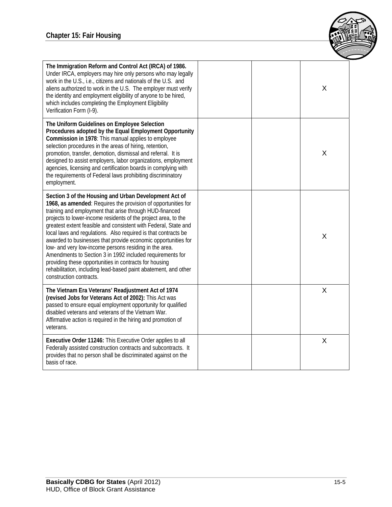

| The Immigration Reform and Control Act (IRCA) of 1986.<br>Under IRCA, employers may hire only persons who may legally<br>work in the U.S., i.e., citizens and nationals of the U.S. and<br>aliens authorized to work in the U.S. The employer must verify<br>the identity and employment eligibility of anyone to be hired,<br>which includes completing the Employment Eligibility<br>Verification Form (I-9).                                                                                                                                                                                                                                                                                                                          | X |
|------------------------------------------------------------------------------------------------------------------------------------------------------------------------------------------------------------------------------------------------------------------------------------------------------------------------------------------------------------------------------------------------------------------------------------------------------------------------------------------------------------------------------------------------------------------------------------------------------------------------------------------------------------------------------------------------------------------------------------------|---|
| The Uniform Guidelines on Employee Selection<br>Procedures adopted by the Equal Employment Opportunity<br>Commission in 1978: This manual applies to employee<br>selection procedures in the areas of hiring, retention,<br>promotion, transfer, demotion, dismissal and referral. It is<br>designed to assist employers, labor organizations, employment<br>agencies, licensing and certification boards in complying with<br>the requirements of Federal laws prohibiting discriminatory<br>employment.                                                                                                                                                                                                                                | X |
| Section 3 of the Housing and Urban Development Act of<br>1968, as amended: Requires the provision of opportunities for<br>training and employment that arise through HUD-financed<br>projects to lower-income residents of the project area, to the<br>greatest extent feasible and consistent with Federal, State and<br>local laws and regulations. Also required is that contracts be<br>awarded to businesses that provide economic opportunities for<br>low- and very low-income persons residing in the area.<br>Amendments to Section 3 in 1992 included requirements for<br>providing these opportunities in contracts for housing<br>rehabilitation, including lead-based paint abatement, and other<br>construction contracts. | X |
| The Vietnam Era Veterans' Readjustment Act of 1974<br>(revised Jobs for Veterans Act of 2002): This Act was<br>passed to ensure equal employment opportunity for qualified<br>disabled veterans and veterans of the Vietnam War.<br>Affirmative action is required in the hiring and promotion of<br>veterans.                                                                                                                                                                                                                                                                                                                                                                                                                           | X |
| Executive Order 11246: This Executive Order applies to all<br>Federally assisted construction contracts and subcontracts. It<br>provides that no person shall be discriminated against on the<br>basis of race.                                                                                                                                                                                                                                                                                                                                                                                                                                                                                                                          | X |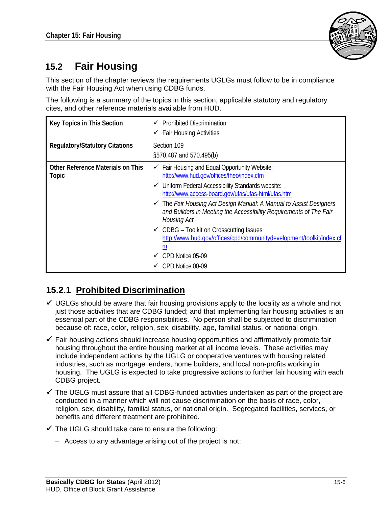

# **15.2 Fair Housing**

This section of the chapter reviews the requirements UGLGs must follow to be in compliance with the Fair Housing Act when using CDBG funds.

The following is a summary of the topics in this section, applicable statutory and regulatory cites, and other reference materials available from HUD.

| <b>Key Topics in This Section</b>                        | <b>Prohibited Discrimination</b><br>$\checkmark$ Fair Housing Activities                                                                                                                                                                                                                                                                                                                                                                                                                                                                                                               |
|----------------------------------------------------------|----------------------------------------------------------------------------------------------------------------------------------------------------------------------------------------------------------------------------------------------------------------------------------------------------------------------------------------------------------------------------------------------------------------------------------------------------------------------------------------------------------------------------------------------------------------------------------------|
| <b>Regulatory/Statutory Citations</b>                    | Section 109<br>§570.487 and 570.495(b)                                                                                                                                                                                                                                                                                                                                                                                                                                                                                                                                                 |
| <b>Other Reference Materials on This</b><br><b>Topic</b> | Fair Housing and Equal Opportunity Website:<br>✓<br>http://www.hud.gov/offices/fheo/index.cfm<br>$\checkmark$ Uniform Federal Accessibility Standards website:<br>http://www.access-board.gov/ufas/ufas-html/ufas.htm<br>$\checkmark$ The Fair Housing Act Design Manual: A Manual to Assist Designers<br>and Builders in Meeting the Accessibility Requirements of The Fair<br>Housing Act<br>$\checkmark$ CDBG – Toolkit on Crosscutting Issues<br>http://www.hud.gov/offices/cpd/communitydevelopment/toolkit/index.cf<br>m<br>CPD Notice 05-09<br>$\checkmark$<br>CPD Notice 00-09 |

# **15.2.1 Prohibited Discrimination**

- $\checkmark$  UGLGs should be aware that fair housing provisions apply to the locality as a whole and not just those activities that are CDBG funded; and that implementing fair housing activities is an essential part of the CDBG responsibilities. No person shall be subjected to discrimination because of: race, color, religion, sex, disability, age, familial status, or national origin.
- $\checkmark$  Fair housing actions should increase housing opportunities and affirmatively promote fair housing throughout the entire housing market at all income levels. These activities may include independent actions by the UGLG or cooperative ventures with housing related industries, such as mortgage lenders, home builders, and local non-profits working in housing. The UGLG is expected to take progressive actions to further fair housing with each CDBG project.
- $\checkmark$  The UGLG must assure that all CDBG-funded activities undertaken as part of the project are conducted in a manner which will not cause discrimination on the basis of race, color, religion, sex, disability, familial status, or national origin. Segregated facilities, services, or benefits and different treatment are prohibited.
- $\checkmark$  The UGLG should take care to ensure the following:
	- Access to any advantage arising out of the project is not: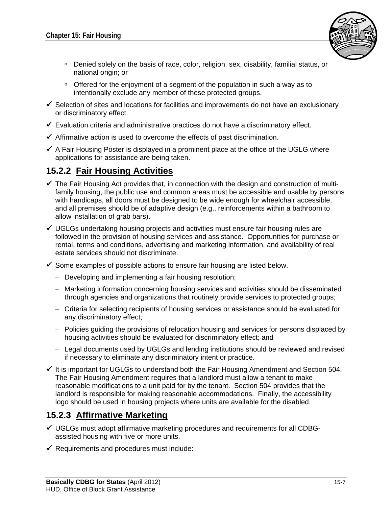

- Denied solely on the basis of race, color, religion, sex, disability, familial status, or national origin; or
- □ Offered for the enjoyment of a segment of the population in such a way as to intentionally exclude any member of these protected groups.
- $\checkmark$  Selection of sites and locations for facilities and improvements do not have an exclusionary or discriminatory effect.
- $\checkmark$  Evaluation criteria and administrative practices do not have a discriminatory effect.
- $\checkmark$  Affirmative action is used to overcome the effects of past discrimination.
- $\checkmark$  A Fair Housing Poster is displayed in a prominent place at the office of the UGLG where applications for assistance are being taken.

# **15.2.2 Fair Housing Activities**

- $\checkmark$  The Fair Housing Act provides that, in connection with the design and construction of multifamily housing, the public use and common areas must be accessible and usable by persons with handicaps, all doors must be designed to be wide enough for wheelchair accessible, and all premises should be of adaptive design (e.g., reinforcements within a bathroom to allow installation of grab bars).
- $\checkmark$  UGLGs undertaking housing projects and activities must ensure fair housing rules are followed in the provision of housing services and assistance. Opportunities for purchase or rental, terms and conditions, advertising and marketing information, and availability of real estate services should not discriminate.
- $\checkmark$  Some examples of possible actions to ensure fair housing are listed below.
	- Developing and implementing a fair housing resolution;
	- Marketing information concerning housing services and activities should be disseminated through agencies and organizations that routinely provide services to protected groups;
	- Criteria for selecting recipients of housing services or assistance should be evaluated for any discriminatory effect;
	- Policies guiding the provisions of relocation housing and services for persons displaced by housing activities should be evaluated for discriminatory effect; and
	- Legal documents used by UGLGs and lending institutions should be reviewed and revised if necessary to eliminate any discriminatory intent or practice.
- $\checkmark$  It is important for UGLGs to understand both the Fair Housing Amendment and Section 504. The Fair Housing Amendment requires that a landlord must allow a tenant to make reasonable modifications to a unit paid for by the tenant. Section 504 provides that the landlord is responsible for making reasonable accommodations. Finally, the accessibility logo should be used in housing projects where units are available for the disabled.

## **15.2.3 Affirmative Marketing**

- $\checkmark$  UGLGs must adopt affirmative marketing procedures and requirements for all CDBGassisted housing with five or more units.
- $\checkmark$  Requirements and procedures must include: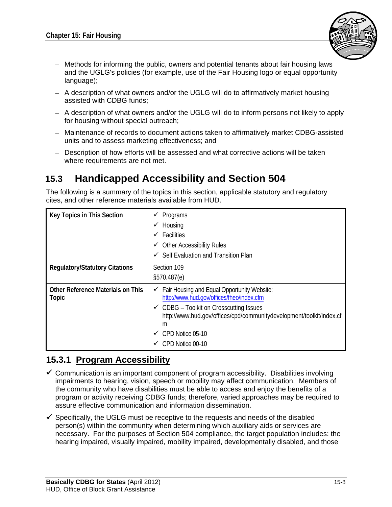

- Methods for informing the public, owners and potential tenants about fair housing laws and the UGLG's policies (for example, use of the Fair Housing logo or equal opportunity language);
- A description of what owners and/or the UGLG will do to affirmatively market housing assisted with CDBG funds;
- A description of what owners and/or the UGLG will do to inform persons not likely to apply for housing without special outreach;
- Maintenance of records to document actions taken to affirmatively market CDBG-assisted units and to assess marketing effectiveness; and
- Description of how efforts will be assessed and what corrective actions will be taken where requirements are not met.

# **15.3 Handicapped Accessibility and Section 504**

The following is a summary of the topics in this section, applicable statutory and regulatory cites, and other reference materials available from HUD.

| <b>Key Topics in This Section</b>                 | Programs<br>✔<br>Housing<br>$\checkmark$<br><b>Facilities</b><br>$\checkmark$<br><b>Other Accessibility Rules</b><br>v<br>Self Evaluation and Transition Plan                                                                                                                         |
|---------------------------------------------------|---------------------------------------------------------------------------------------------------------------------------------------------------------------------------------------------------------------------------------------------------------------------------------------|
| <b>Regulatory/Statutory Citations</b>             | Section 109<br>§570.487(e)                                                                                                                                                                                                                                                            |
| <b>Other Reference Materials on This</b><br>Topic | $\checkmark$ Fair Housing and Equal Opportunity Website:<br>http://www.hud.gov/offices/fheo/index.cfm<br>$\checkmark$ CDBG – Toolkit on Crosscutting Issues<br>http://www.hud.gov/offices/cpd/communitydevelopment/toolkit/index.cf<br>m<br>CPD Notice 05-10<br>✓<br>CPD Notice 00-10 |

## **15.3.1 Program Accessibility**

- $\checkmark$  Communication is an important component of program accessibility. Disabilities involving impairments to hearing, vision, speech or mobility may affect communication. Members of the community who have disabilities must be able to access and enjoy the benefits of a program or activity receiving CDBG funds; therefore, varied approaches may be required to assure effective communication and information dissemination.
- $\checkmark$  Specifically, the UGLG must be receptive to the requests and needs of the disabled person(s) within the community when determining which auxiliary aids or services are necessary. For the purposes of Section 504 compliance, the target population includes: the hearing impaired, visually impaired, mobility impaired, developmentally disabled, and those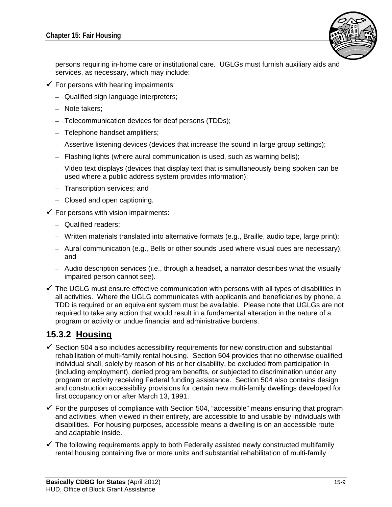

persons requiring in-home care or institutional care. UGLGs must furnish auxiliary aids and services, as necessary, which may include:

- $\checkmark$  For persons with hearing impairments:
	- Qualified sign language interpreters;
	- Note takers;
	- Telecommunication devices for deaf persons (TDDs);
	- Telephone handset amplifiers;
	- Assertive listening devices (devices that increase the sound in large group settings);
	- Flashing lights (where aural communication is used, such as warning bells);
	- Video text displays (devices that display text that is simultaneously being spoken can be used where a public address system provides information);
	- Transcription services; and
	- Closed and open captioning.
- $\checkmark$  For persons with vision impairments:
	- Qualified readers;
	- Written materials translated into alternative formats (e.g., Braille, audio tape, large print);
	- Aural communication (e.g., Bells or other sounds used where visual cues are necessary); and
	- Audio description services (i.e., through a headset, a narrator describes what the visually impaired person cannot see).
- $\checkmark$  The UGLG must ensure effective communication with persons with all types of disabilities in all activities. Where the UGLG communicates with applicants and beneficiaries by phone, a TDD is required or an equivalent system must be available. Please note that UGLGs are not required to take any action that would result in a fundamental alteration in the nature of a program or activity or undue financial and administrative burdens.

### **15.3.2 Housing**

- $\checkmark$  Section 504 also includes accessibility requirements for new construction and substantial rehabilitation of multi-family rental housing. Section 504 provides that no otherwise qualified individual shall, solely by reason of his or her disability, be excluded from participation in (including employment), denied program benefits, or subjected to discrimination under any program or activity receiving Federal funding assistance. Section 504 also contains design and construction accessibility provisions for certain new multi-family dwellings developed for first occupancy on or after March 13, 1991.
- $\checkmark$  For the purposes of compliance with Section 504, "accessible" means ensuring that program and activities, when viewed in their entirety, are accessible to and usable by individuals with disabilities. For housing purposes, accessible means a dwelling is on an accessible route and adaptable inside.
- $\checkmark$  The following requirements apply to both Federally assisted newly constructed multifamily rental housing containing five or more units and substantial rehabilitation of multi-family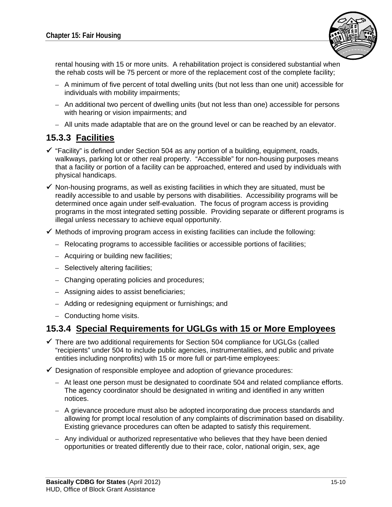

rental housing with 15 or more units. A rehabilitation project is considered substantial when the rehab costs will be 75 percent or more of the replacement cost of the complete facility;

- A minimum of five percent of total dwelling units (but not less than one unit) accessible for individuals with mobility impairments;
- An additional two percent of dwelling units (but not less than one) accessible for persons with hearing or vision impairments; and
- All units made adaptable that are on the ground level or can be reached by an elevator.

### **15.3.3 Facilities**

- $\checkmark$  "Facility" is defined under Section 504 as any portion of a building, equipment, roads, walkways, parking lot or other real property. "Accessible" for non-housing purposes means that a facility or portion of a facility can be approached, entered and used by individuals with physical handicaps.
- $\checkmark$  Non-housing programs, as well as existing facilities in which they are situated, must be readily accessible to and usable by persons with disabilities. Accessibility programs will be determined once again under self-evaluation. The focus of program access is providing programs in the most integrated setting possible. Providing separate or different programs is illegal unless necessary to achieve equal opportunity.
- $\checkmark$  Methods of improving program access in existing facilities can include the following:
	- Relocating programs to accessible facilities or accessible portions of facilities;
	- Acquiring or building new facilities;
	- Selectively altering facilities;
	- Changing operating policies and procedures;
	- Assigning aides to assist beneficiaries;
	- Adding or redesigning equipment or furnishings; and
	- Conducting home visits.

#### **15.3.4 Special Requirements for UGLGs with 15 or More Employees**

- $\checkmark$  There are two additional requirements for Section 504 compliance for UGLGs (called "recipients" under 504 to include public agencies, instrumentalities, and public and private entities including nonprofits) with 15 or more full or part-time employees:
- $\checkmark$  Designation of responsible employee and adoption of grievance procedures:
	- At least one person must be designated to coordinate 504 and related compliance efforts. The agency coordinator should be designated in writing and identified in any written notices.
	- A grievance procedure must also be adopted incorporating due process standards and allowing for prompt local resolution of any complaints of discrimination based on disability. Existing grievance procedures can often be adapted to satisfy this requirement.
	- Any individual or authorized representative who believes that they have been denied opportunities or treated differently due to their race, color, national origin, sex, age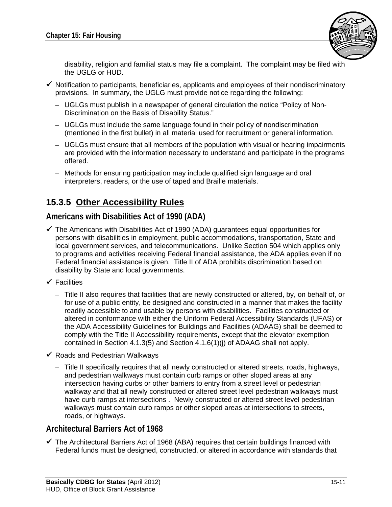

disability, religion and familial status may file a complaint. The complaint may be filed with the UGLG or HUD.

- $\checkmark$  Notification to participants, beneficiaries, applicants and employees of their nondiscriminatory provisions. In summary, the UGLG must provide notice regarding the following:
	- UGLGs must publish in a newspaper of general circulation the notice "Policy of Non-Discrimination on the Basis of Disability Status."
	- UGLGs must include the same language found in their policy of nondiscrimination (mentioned in the first bullet) in all material used for recruitment or general information.
	- UGLGs must ensure that all members of the population with visual or hearing impairments are provided with the information necessary to understand and participate in the programs offered.
	- Methods for ensuring participation may include qualified sign language and oral interpreters, readers, or the use of taped and Braille materials.

## **15.3.5 Other Accessibility Rules**

#### **Americans with Disabilities Act of 1990 (ADA)**

- $\checkmark$  The Americans with Disabilities Act of 1990 (ADA) quarantees equal opportunities for persons with disabilities in employment, public accommodations, transportation, State and local government services, and telecommunications. Unlike Section 504 which applies only to programs and activities receiving Federal financial assistance, the ADA applies even if no Federal financial assistance is given. Title II of ADA prohibits discrimination based on disability by State and local governments.
- $\checkmark$  Facilities
	- Title II also requires that facilities that are newly constructed or altered, by, on behalf of, or for use of a public entity, be designed and constructed in a manner that makes the facility readily accessible to and usable by persons with disabilities. Facilities constructed or altered in conformance with either the Uniform Federal Accessibility Standards (UFAS) or the ADA Accessibility Guidelines for Buildings and Facilities (ADAAG) shall be deemed to comply with the Title II Accessibility requirements, except that the elevator exemption contained in Section 4.1.3(5) and Section 4.1.6(1)(j) of ADAAG shall not apply.
- $\checkmark$  Roads and Pedestrian Walkways
	- Title II specifically requires that all newly constructed or altered streets, roads, highways, and pedestrian walkways must contain curb ramps or other sloped areas at any intersection having curbs or other barriers to entry from a street level or pedestrian walkway and that all newly constructed or altered street level pedestrian walkways must have curb ramps at intersections . Newly constructed or altered street level pedestrian walkways must contain curb ramps or other sloped areas at intersections to streets, roads, or highways.

#### **Architectural Barriers Act of 1968**

 $\checkmark$  The Architectural Barriers Act of 1968 (ABA) requires that certain buildings financed with Federal funds must be designed, constructed, or altered in accordance with standards that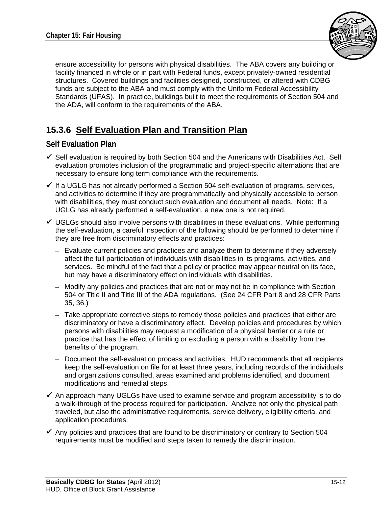

ensure accessibility for persons with physical disabilities. The ABA covers any building or facility financed in whole or in part with Federal funds, except privately-owned residential structures. Covered buildings and facilities designed, constructed, or altered with CDBG funds are subject to the ABA and must comply with the Uniform Federal Accessibility Standards (UFAS). In practice, buildings built to meet the requirements of Section 504 and the ADA, will conform to the requirements of the ABA.

# **15.3.6 Self Evaluation Plan and Transition Plan**

#### **Self Evaluation Plan**

- $\checkmark$  Self evaluation is required by both Section 504 and the Americans with Disabilities Act. Self evaluation promotes inclusion of the programmatic and project-specific alternations that are necessary to ensure long term compliance with the requirements.
- $\checkmark$  If a UGLG has not already performed a Section 504 self-evaluation of programs, services, and activities to determine if they are programmatically and physically accessible to person with disabilities, they must conduct such evaluation and document all needs. Note: If a UGLG has already performed a self-evaluation, a new one is not required.
- $\checkmark$  UGLGs should also involve persons with disabilities in these evaluations. While performing the self-evaluation, a careful inspection of the following should be performed to determine if they are free from discriminatory effects and practices:
	- Evaluate current policies and practices and analyze them to determine if they adversely affect the full participation of individuals with disabilities in its programs, activities, and services. Be mindful of the fact that a policy or practice may appear neutral on its face, but may have a discriminatory effect on individuals with disabilities.
	- Modify any policies and practices that are not or may not be in compliance with Section 504 or Title II and Title III of the ADA regulations. (See 24 CFR Part 8 and 28 CFR Parts 35, 36.)
	- Take appropriate corrective steps to remedy those policies and practices that either are discriminatory or have a discriminatory effect. Develop policies and procedures by which persons with disabilities may request a modification of a physical barrier or a rule or practice that has the effect of limiting or excluding a person with a disability from the benefits of the program.
	- Document the self-evaluation process and activities. HUD recommends that all recipients keep the self-evaluation on file for at least three years, including records of the individuals and organizations consulted, areas examined and problems identified, and document modifications and remedial steps.
- $\checkmark$  An approach many UGLGs have used to examine service and program accessibility is to do a walk-through of the process required for participation. Analyze not only the physical path traveled, but also the administrative requirements, service delivery, eligibility criteria, and application procedures.
- $\checkmark$  Any policies and practices that are found to be discriminatory or contrary to Section 504 requirements must be modified and steps taken to remedy the discrimination.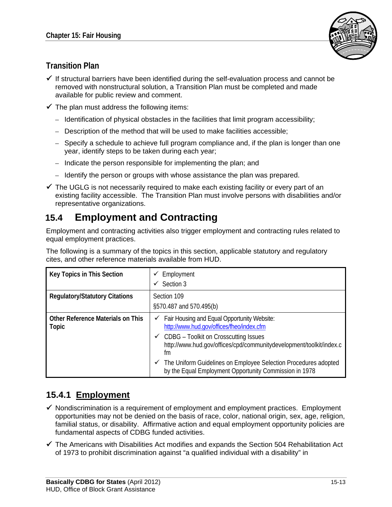

## **Transition Plan**

- $\checkmark$  If structural barriers have been identified during the self-evaluation process and cannot be removed with nonstructural solution, a Transition Plan must be completed and made available for public review and comment.
- $\checkmark$  The plan must address the following items:
	- Identification of physical obstacles in the facilities that limit program accessibility;
	- Description of the method that will be used to make facilities accessible;
	- Specify a schedule to achieve full program compliance and, if the plan is longer than one year, identify steps to be taken during each year;
	- Indicate the person responsible for implementing the plan; and
	- Identify the person or groups with whose assistance the plan was prepared.
- $\checkmark$  The UGLG is not necessarily required to make each existing facility or every part of an existing facility accessible. The Transition Plan must involve persons with disabilities and/or representative organizations.

# **15.4 Employment and Contracting**

Employment and contracting activities also trigger employment and contracting rules related to equal employment practices.

The following is a summary of the topics in this section, applicable statutory and regulatory cites, and other reference materials available from HUD.

| Key Topics in This Section                               | Employment<br>Section 3                                                                                                                                                                                                                                                                                                                                                    |
|----------------------------------------------------------|----------------------------------------------------------------------------------------------------------------------------------------------------------------------------------------------------------------------------------------------------------------------------------------------------------------------------------------------------------------------------|
| <b>Regulatory/Statutory Citations</b>                    | Section 109<br>§570.487 and 570.495(b)                                                                                                                                                                                                                                                                                                                                     |
| <b>Other Reference Materials on This</b><br><b>Topic</b> | $\checkmark$ Fair Housing and Equal Opportunity Website:<br>http://www.hud.gov/offices/fheo/index.cfm<br>$\checkmark$ CDBG – Toolkit on Crosscutting Issues<br>http://www.hud.gov/offices/cpd/communitydevelopment/toolkit/index.c<br>fm<br>The Uniform Guidelines on Employee Selection Procedures adopted<br>✓<br>by the Equal Employment Opportunity Commission in 1978 |

# **15.4.1 Employment**

- $\checkmark$  Nondiscrimination is a requirement of employment and employment practices. Employment opportunities may not be denied on the basis of race, color, national origin, sex, age, religion, familial status, or disability. Affirmative action and equal employment opportunity policies are fundamental aspects of CDBG funded activities.
- $\checkmark$  The Americans with Disabilities Act modifies and expands the Section 504 Rehabilitation Act of 1973 to prohibit discrimination against "a qualified individual with a disability" in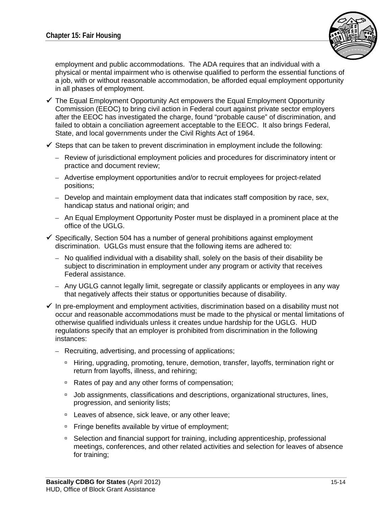

employment and public accommodations. The ADA requires that an individual with a physical or mental impairment who is otherwise qualified to perform the essential functions of a job, with or without reasonable accommodation, be afforded equal employment opportunity in all phases of employment.

- $\checkmark$  The Equal Employment Opportunity Act empowers the Equal Employment Opportunity Commission (EEOC) to bring civil action in Federal court against private sector employers after the EEOC has investigated the charge, found "probable cause" of discrimination, and failed to obtain a conciliation agreement acceptable to the EEOC. It also brings Federal, State, and local governments under the Civil Rights Act of 1964.
- $\checkmark$  Steps that can be taken to prevent discrimination in employment include the following:
	- Review of jurisdictional employment policies and procedures for discriminatory intent or practice and document review;
	- Advertise employment opportunities and/or to recruit employees for project-related positions;
	- Develop and maintain employment data that indicates staff composition by race, sex, handicap status and national origin; and
	- An Equal Employment Opportunity Poster must be displayed in a prominent place at the office of the UGLG.
- $\checkmark$  Specifically, Section 504 has a number of general prohibitions against employment discrimination. UGLGs must ensure that the following items are adhered to:
	- No qualified individual with a disability shall, solely on the basis of their disability be subject to discrimination in employment under any program or activity that receives Federal assistance.
	- Any UGLG cannot legally limit, segregate or classify applicants or employees in any way that negatively affects their status or opportunities because of disability.
- $\checkmark$  In pre-employment and employment activities, discrimination based on a disability must not occur and reasonable accommodations must be made to the physical or mental limitations of otherwise qualified individuals unless it creates undue hardship for the UGLG. HUD regulations specify that an employer is prohibited from discrimination in the following instances:
	- Recruiting, advertising, and processing of applications;
		- □ Hiring, upgrading, promoting, tenure, demotion, transfer, layoffs, termination right or return from layoffs, illness, and rehiring;
		- □ Rates of pay and any other forms of compensation;
		- □ Job assignments, classifications and descriptions, organizational structures, lines, progression, and seniority lists;
		- □ Leaves of absence, sick leave, or any other leave;
		- □ Fringe benefits available by virtue of employment;
		- □ Selection and financial support for training, including apprenticeship, professional meetings, conferences, and other related activities and selection for leaves of absence for training;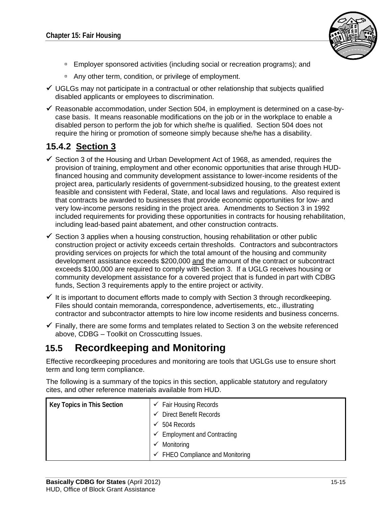

- Employer sponsored activities (including social or recreation programs); and
- □ Any other term, condition, or privilege of employment.
- $\checkmark$  UGLGs may not participate in a contractual or other relationship that subjects qualified disabled applicants or employees to discrimination.
- $\checkmark$  Reasonable accommodation, under Section 504, in employment is determined on a case-bycase basis. It means reasonable modifications on the job or in the workplace to enable a disabled person to perform the job for which she/he is qualified. Section 504 does not require the hiring or promotion of someone simply because she/he has a disability.

### **15.4.2 Section 3**

- $\checkmark$  Section 3 of the Housing and Urban Development Act of 1968, as amended, requires the provision of training, employment and other economic opportunities that arise through HUDfinanced housing and community development assistance to lower-income residents of the project area, particularly residents of government-subsidized housing, to the greatest extent feasible and consistent with Federal, State, and local laws and regulations. Also required is that contracts be awarded to businesses that provide economic opportunities for low- and very low-income persons residing in the project area. Amendments to Section 3 in 1992 included requirements for providing these opportunities in contracts for housing rehabilitation, including lead-based paint abatement, and other construction contracts.
- $\checkmark$  Section 3 applies when a housing construction, housing rehabilitation or other public construction project or activity exceeds certain thresholds. Contractors and subcontractors providing services on projects for which the total amount of the housing and community development assistance exceeds \$200,000 and the amount of the contract or subcontract exceeds \$100,000 are required to comply with Section 3. If a UGLG receives housing or community development assistance for a covered project that is funded in part with CDBG funds, Section 3 requirements apply to the entire project or activity.
- $\checkmark$  It is important to document efforts made to comply with Section 3 through recordkeeping. Files should contain memoranda, correspondence, advertisements, etc., illustrating contractor and subcontractor attempts to hire low income residents and business concerns.
- $\checkmark$  Finally, there are some forms and templates related to Section 3 on the website referenced above, CDBG – Toolkit on Crosscutting Issues.

# **15.5 Recordkeeping and Monitoring**

Effective recordkeeping procedures and monitoring are tools that UGLGs use to ensure short term and long term compliance.

The following is a summary of the topics in this section, applicable statutory and regulatory cites, and other reference materials available from HUD.

| Key Topics in This Section | $\checkmark$ Fair Housing Records           |
|----------------------------|---------------------------------------------|
|                            | <b>Direct Benefit Records</b><br>✓          |
|                            | 504 Records                                 |
|                            | <b>Employment and Contracting</b><br>✓      |
|                            | Monitoring                                  |
|                            | $\checkmark$ FHEO Compliance and Monitoring |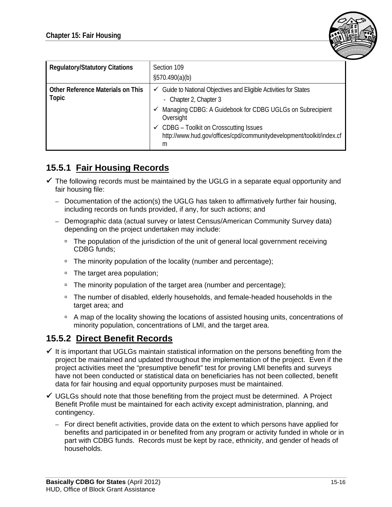

| <b>Regulatory/Statutory Citations</b>             | Section 109<br>\$570.490(a)(b)                                                                                                                                                                                                                                                                                           |
|---------------------------------------------------|--------------------------------------------------------------------------------------------------------------------------------------------------------------------------------------------------------------------------------------------------------------------------------------------------------------------------|
| <b>Other Reference Materials on This</b><br>Topic | $\checkmark$ Guide to National Objectives and Eligible Activities for States<br>- Chapter 2, Chapter 3<br>Managing CDBG: A Guidebook for CDBG UGLGs on Subrecipient<br>✓<br>Oversight<br>$\checkmark$ CDBG – Toolkit on Crosscutting Issues<br>http://www.hud.gov/offices/cpd/communitydevelopment/toolkit/index.cf<br>m |

## **15.5.1 Fair Housing Records**

- $\checkmark$  The following records must be maintained by the UGLG in a separate equal opportunity and fair housing file:
	- Documentation of the action(s) the UGLG has taken to affirmatively further fair housing, including records on funds provided, if any, for such actions; and
	- Demographic data (actual survey or latest Census/American Community Survey data) depending on the project undertaken may include:
		- □ The population of the jurisdiction of the unit of general local government receiving CDBG funds;
		- □ The minority population of the locality (number and percentage);
		- □ The target area population;
		- □ The minority population of the target area (number and percentage);
		- The number of disabled, elderly households, and female-headed households in the target area; and
		- <sup>n</sup> A map of the locality showing the locations of assisted housing units, concentrations of minority population, concentrations of LMI, and the target area.

## **15.5.2 Direct Benefit Records**

- $\checkmark$  It is important that UGLGs maintain statistical information on the persons benefiting from the project be maintained and updated throughout the implementation of the project. Even if the project activities meet the "presumptive benefit" test for proving LMI benefits and surveys have not been conducted or statistical data on beneficiaries has not been collected, benefit data for fair housing and equal opportunity purposes must be maintained.
- $\checkmark$  UGLGs should note that those benefiting from the project must be determined. A Project Benefit Profile must be maintained for each activity except administration, planning, and contingency.
	- For direct benefit activities, provide data on the extent to which persons have applied for benefits and participated in or benefited from any program or activity funded in whole or in part with CDBG funds. Records must be kept by race, ethnicity, and gender of heads of households.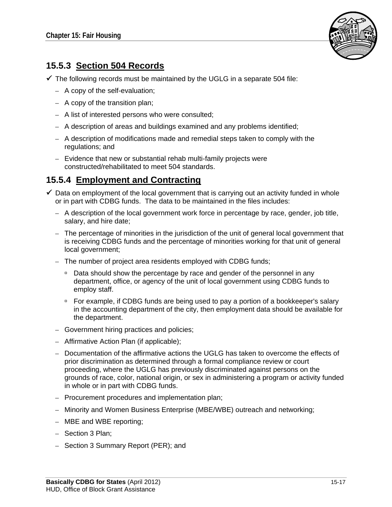

## **15.5.3 Section 504 Records**

 $\checkmark$  The following records must be maintained by the UGLG in a separate 504 file:

- A copy of the self-evaluation;
- A copy of the transition plan;
- A list of interested persons who were consulted;
- A description of areas and buildings examined and any problems identified;
- A description of modifications made and remedial steps taken to comply with the regulations; and
- Evidence that new or substantial rehab multi-family projects were constructed/rehabilitated to meet 504 standards.

### **15.5.4 Employment and Contracting**

- $\checkmark$  Data on employment of the local government that is carrying out an activity funded in whole or in part with CDBG funds. The data to be maintained in the files includes:
	- A description of the local government work force in percentage by race, gender, job title, salary, and hire date;
	- The percentage of minorities in the jurisdiction of the unit of general local government that is receiving CDBG funds and the percentage of minorities working for that unit of general local government;
	- The number of project area residents employed with CDBG funds;
		- □ Data should show the percentage by race and gender of the personnel in any department, office, or agency of the unit of local government using CDBG funds to employ staff.
		- □ For example, if CDBG funds are being used to pay a portion of a bookkeeper's salary in the accounting department of the city, then employment data should be available for the department.
	- Government hiring practices and policies;
	- Affirmative Action Plan (if applicable);
	- Documentation of the affirmative actions the UGLG has taken to overcome the effects of prior discrimination as determined through a formal compliance review or court proceeding, where the UGLG has previously discriminated against persons on the grounds of race, color, national origin, or sex in administering a program or activity funded in whole or in part with CDBG funds.
	- Procurement procedures and implementation plan;
	- Minority and Women Business Enterprise (MBE/WBE) outreach and networking;
	- MBE and WBE reporting;
	- Section 3 Plan;
	- Section 3 Summary Report (PER); and